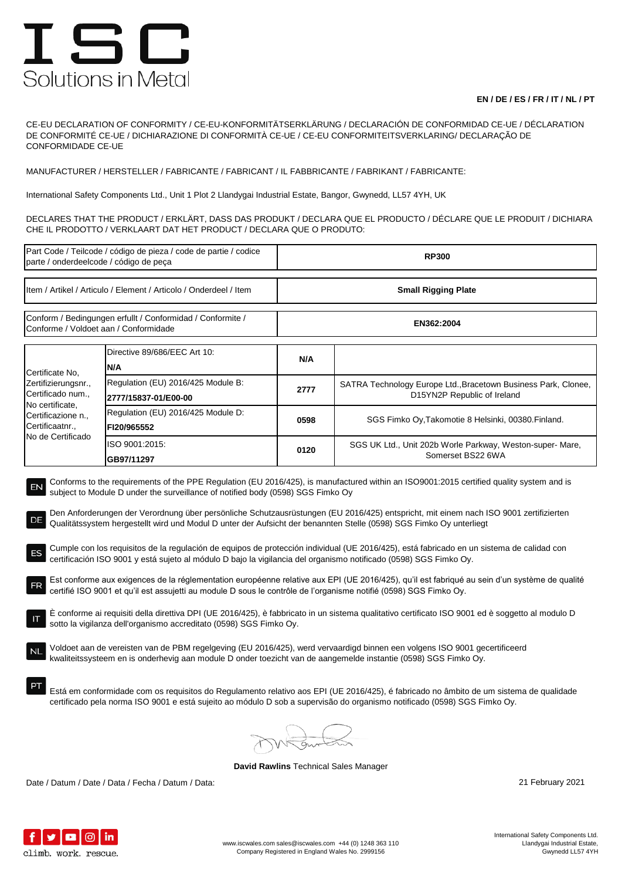## ISC Solutions in Metal

## **EN / DE / ES / FR / IT / NL / PT**

CE-EU DECLARATION OF CONFORMITY / CE-EU-KONFORMITÄTSERKLÄRUNG / DECLARACIÓN DE CONFORMIDAD CE-UE / DÉCLARATION DE CONFORMITÉ CE-UE / DICHIARAZIONE DI CONFORMITÀ CE-UE / CE-EU CONFORMITEITSVERKLARING/ DECLARAÇÃO DE CONFORMIDADE CE-UE

MANUFACTURER / HERSTELLER / FABRICANTE / FABRICANT / IL FABBRICANTE / FABRIKANT / FABRICANTE:

International Safety Components Ltd., Unit 1 Plot 2 Llandygai Industrial Estate, Bangor, Gwynedd, LL57 4YH, UK

DECLARES THAT THE PRODUCT / ERKLÄRT, DASS DAS PRODUKT / DECLARA QUE EL PRODUCTO / DÉCLARE QUE LE PRODUIT / DICHIARA CHE IL PRODOTTO / VERKLAART DAT HET PRODUCT / DECLARA QUE O PRODUTO:

| Part Code / Teilcode / código de pieza / code de partie / codice<br>parte / onderdeelcode / código de peça                                                                                                                                                                                                                                                                                                                                                                                                                                                                                                                                                                                                                                                                                                                                                                                                                                                                                                                                                                                                                                                                                                                                                                                                                                                                                                                                                                                                                                                                                                                                                                                                                                                                                             |                                                            | <b>RP300</b>               |                                                                                               |  |  |
|--------------------------------------------------------------------------------------------------------------------------------------------------------------------------------------------------------------------------------------------------------------------------------------------------------------------------------------------------------------------------------------------------------------------------------------------------------------------------------------------------------------------------------------------------------------------------------------------------------------------------------------------------------------------------------------------------------------------------------------------------------------------------------------------------------------------------------------------------------------------------------------------------------------------------------------------------------------------------------------------------------------------------------------------------------------------------------------------------------------------------------------------------------------------------------------------------------------------------------------------------------------------------------------------------------------------------------------------------------------------------------------------------------------------------------------------------------------------------------------------------------------------------------------------------------------------------------------------------------------------------------------------------------------------------------------------------------------------------------------------------------------------------------------------------------|------------------------------------------------------------|----------------------------|-----------------------------------------------------------------------------------------------|--|--|
| Item / Artikel / Articulo / Element / Articolo / Onderdeel / Item                                                                                                                                                                                                                                                                                                                                                                                                                                                                                                                                                                                                                                                                                                                                                                                                                                                                                                                                                                                                                                                                                                                                                                                                                                                                                                                                                                                                                                                                                                                                                                                                                                                                                                                                      |                                                            | <b>Small Rigging Plate</b> |                                                                                               |  |  |
| Conform / Bedingungen erfullt / Conformidad / Conformite /<br>Conforme / Voldoet aan / Conformidade                                                                                                                                                                                                                                                                                                                                                                                                                                                                                                                                                                                                                                                                                                                                                                                                                                                                                                                                                                                                                                                                                                                                                                                                                                                                                                                                                                                                                                                                                                                                                                                                                                                                                                    |                                                            | EN362:2004                 |                                                                                               |  |  |
| Certificate No.<br>Zertifizierungsnr.,<br>Certificado num.,<br>No certificate,<br>Certificazione n.,<br>Certificaatnr.,<br>No de Certificado                                                                                                                                                                                                                                                                                                                                                                                                                                                                                                                                                                                                                                                                                                                                                                                                                                                                                                                                                                                                                                                                                                                                                                                                                                                                                                                                                                                                                                                                                                                                                                                                                                                           | Directive 89/686/EEC Art 10:<br>N/A                        | N/A                        |                                                                                               |  |  |
|                                                                                                                                                                                                                                                                                                                                                                                                                                                                                                                                                                                                                                                                                                                                                                                                                                                                                                                                                                                                                                                                                                                                                                                                                                                                                                                                                                                                                                                                                                                                                                                                                                                                                                                                                                                                        | Regulation (EU) 2016/425 Module B:<br>2777/15837-01/E00-00 | 2777                       | SATRA Technology Europe Ltd., Bracetown Business Park, Clonee,<br>D15YN2P Republic of Ireland |  |  |
|                                                                                                                                                                                                                                                                                                                                                                                                                                                                                                                                                                                                                                                                                                                                                                                                                                                                                                                                                                                                                                                                                                                                                                                                                                                                                                                                                                                                                                                                                                                                                                                                                                                                                                                                                                                                        | Regulation (EU) 2016/425 Module D:<br>FI20/965552          | 0598                       | SGS Fimko Oy, Takomotie 8 Helsinki, 00380. Finland.                                           |  |  |
|                                                                                                                                                                                                                                                                                                                                                                                                                                                                                                                                                                                                                                                                                                                                                                                                                                                                                                                                                                                                                                                                                                                                                                                                                                                                                                                                                                                                                                                                                                                                                                                                                                                                                                                                                                                                        | ISO 9001:2015:<br>GB97/11297                               | 0120                       | SGS UK Ltd., Unit 202b Worle Parkway, Weston-super- Mare,<br>Somerset BS22 6WA                |  |  |
| Conforms to the requirements of the PPE Regulation (EU 2016/425), is manufactured within an ISO9001:2015 certified quality system and is<br>EN<br>subject to Module D under the surveillance of notified body (0598) SGS Fimko Oy<br>Den Anforderungen der Verordnung über persönliche Schutzausrüstungen (EU 2016/425) entspricht, mit einem nach ISO 9001 zertifizierten<br>DE<br>Qualitätssystem hergestellt wird und Modul D unter der Aufsicht der benannten Stelle (0598) SGS Fimko Oy unterliegt<br>Cumple con los requisitos de la regulación de equipos de protección individual (UE 2016/425), está fabricado en un sistema de calidad con<br>ES<br>certificación ISO 9001 y está sujeto al módulo D bajo la vigilancia del organismo notificado (0598) SGS Fimko Oy.<br>Est conforme aux exigences de la réglementation européenne relative aux EPI (UE 2016/425), qu'il est fabriqué au sein d'un système de qualité<br>certifié ISO 9001 et qu'il est assujetti au module D sous le contrôle de l'organisme notifié (0598) SGS Fimko Oy.<br>È conforme ai requisiti della direttiva DPI (UE 2016/425), è fabbricato in un sistema qualitativo certificato ISO 9001 ed è soggetto al modulo D<br>sotto la vigilanza dell'organismo accreditato (0598) SGS Fimko Oy.<br>Voldoet aan de vereisten van de PBM regelgeving (EU 2016/425), werd vervaardigd binnen een volgens ISO 9001 gecertificeerd<br>kwaliteitssysteem en is onderhevig aan module D onder toezicht van de aangemelde instantie (0598) SGS Fimko Oy.<br>Está em conformidade com os requisitos do Regulamento relativo aos EPI (UE 2016/425), é fabricado no âmbito de um sistema de qualidade<br>certificado pela norma ISO 9001 e está sujeito ao módulo D sob a supervisão do organismo notificado (0598) SGS Fimko Oy. |                                                            |                            |                                                                                               |  |  |
|                                                                                                                                                                                                                                                                                                                                                                                                                                                                                                                                                                                                                                                                                                                                                                                                                                                                                                                                                                                                                                                                                                                                                                                                                                                                                                                                                                                                                                                                                                                                                                                                                                                                                                                                                                                                        |                                                            |                            |                                                                                               |  |  |

**David Rawlins** Technical Sales Manager

Date / Datum / Date / Data / Fecha / Datum / Data: 21 February 2021